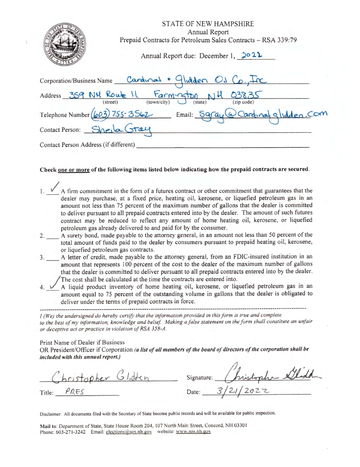| <b>STATE OF NEW HAMPSHIRE</b><br>Annual Report<br>Prepaid Contracts for Petroleum Sales Contracts - RSA 339:79 |
|----------------------------------------------------------------------------------------------------------------|
| Annual Report due: December 1, 2021                                                                            |
| Corporation/Business Name Cardwal + Glidden O.J Co., Inc                                                       |
| Address 359 NH Route 11 Farmington NH 03835                                                                    |
| Telephone Number (603) 755-3562 Email: Saray @ Cardinal glidden. Com                                           |
| Contact Person: Sherla Gray                                                                                    |
| Contact Person Address (if different)                                                                          |

## Check one or more of the following items listed below indicating how the prepaid contracts are secured.

- $\sqrt{A}$  firm commitment in the form of a futures contract or other commitment that guarantees that the dealer may purchase, at a fixed price, heating oil, kerosene, or liquefied petroleum gas in an amount not less than 75 percent of the maximum number of gallons that the dealer is committed to deliver pursuant to all prepaid contracts entered into by the dealer. The amount of such futures contract may be reduced to reflect any amount of home heating oil, kerosene, or liquefied petroleum gas already delivered to and paid for by the consumer.
- 2. A surety bond, made payable to the attorney general, in an amount not less than 50 percent of the total amount of funds paid to the dealer by consumers pursuant to prepaid heating oil, kerosene, or liquefied petroleum gas contracts.
- A letter of credit, made payable to the attorney general, from an FDIC-insured institution in an  $3.$ amount that represents 100 percent of the cost to the dealer of the maximum number of gallons that the dealer is committed to deliver pursuant to all prepaid contracts entered into by the dealer. The cost shall be calculated at the time the contracts are entered into.
- A liquid product inventory of home heating oil, kerosene, or liquefied petroleum gas in an amount equal to 75 percent of the outstanding volume in gallons that the dealer is obligated to deliver under the terms of prepaid contracts in force.

I (We) the undersigned do hereby certify that the information provided in this form is true and complete to the best of my information, knowledge and belief. Making a false statement on the form shall constitute an unfair or deceptive act or practice in violation of RSA 358-A.

Print Name of Dealer if Business

OR President/Officer if Corporation (a list of all members of the board of directors of the corporation shall be included with this annual report.)

pristopher Glidden

Title: PRES

Signature: Date:

Disclaimer: All documents filed with the Secretary of State become public records and will be available for public inspection.

Mail to: Department of State, State House Room 204, 107 North Main Street, Concord, NH 03301 Phone: 603-271-3242 Email: elections@sos.nh.gov website: www.sos.nh.gov